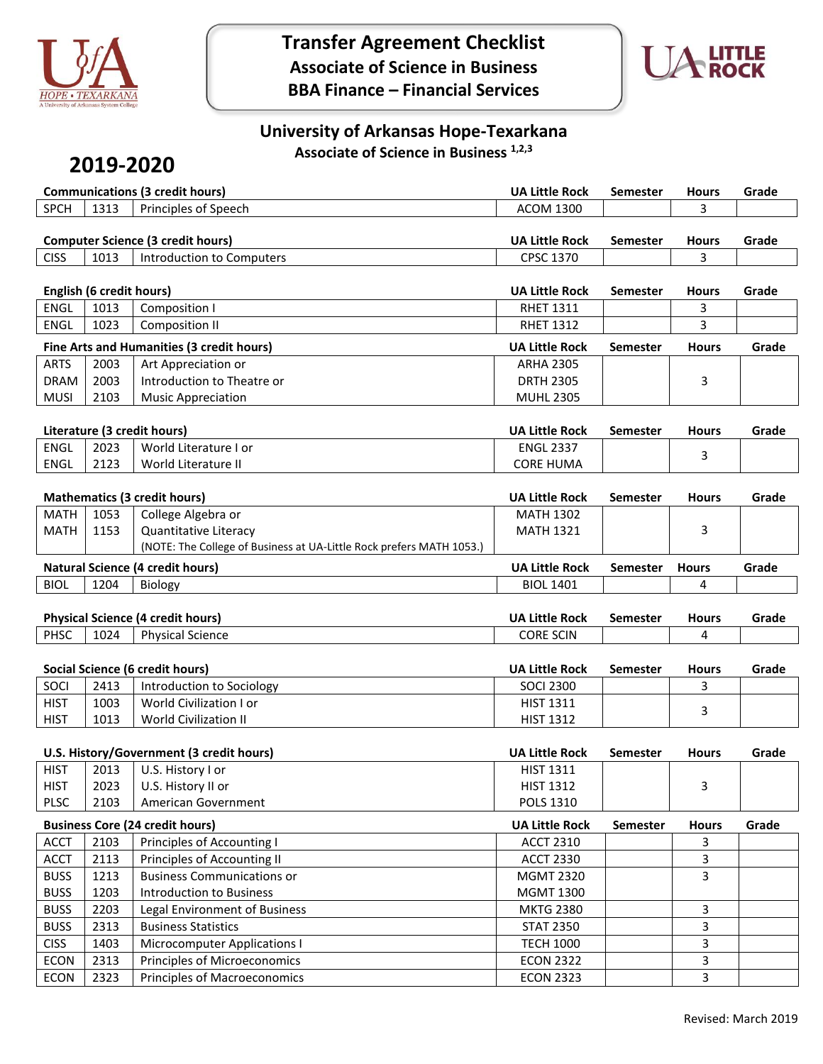

**Transfer Agreement Checklist Associate of Science in Business BBA Finance – Financial Services**



### **University of Arkansas Hope-Texarkana Associate of Science in Business 1,2,3**

# **2019-2020**

|                                             | <b>Communications (3 credit hours)</b> |                                          |                       | Semester | <b>Hours</b> | Grade |
|---------------------------------------------|----------------------------------------|------------------------------------------|-----------------------|----------|--------------|-------|
| <b>SPCH</b><br>1313<br>Principles of Speech |                                        |                                          | ACOM 1300             |          |              |       |
|                                             |                                        |                                          |                       |          |              |       |
|                                             |                                        |                                          |                       |          |              |       |
|                                             |                                        | <b>Computer Science (3 credit hours)</b> | <b>UA Little Rock</b> | Semester | <b>Hours</b> | Grade |
| <b>CISS</b>                                 | 1013                                   | Introduction to Computers                | CPSC 1370             |          |              |       |

|             | English (6 credit hours) |                                           |                       | Semester        | <b>Hours</b> | Grade |
|-------------|--------------------------|-------------------------------------------|-----------------------|-----------------|--------------|-------|
| <b>ENGL</b> | 1013                     | Composition I                             | <b>RHET 1311</b>      |                 |              |       |
| <b>ENGL</b> | 1023                     | Composition II                            | <b>RHET 1312</b>      |                 |              |       |
|             |                          | Fine Arts and Humanities (3 credit hours) | <b>UA Little Rock</b> | <b>Semester</b> | <b>Hours</b> | Grade |
| <b>ARTS</b> | 2003                     | Art Appreciation or                       | <b>ARHA 2305</b>      |                 |              |       |
| <b>DRAM</b> | 2003                     | Introduction to Theatre or                | <b>DRTH 2305</b>      |                 |              |       |
| <b>MUSI</b> | 2103                     | <b>Music Appreciation</b>                 | <b>MUHL 2305</b>      |                 |              |       |

| Literature (3 credit hours) |      |                       | <b>UA Little Rock</b> | Semester | <b>Hours</b> | Grade |
|-----------------------------|------|-----------------------|-----------------------|----------|--------------|-------|
| ENGL                        | 2023 | World Literature I or | <b>ENGL 2337</b>      |          |              |       |
| ENGL                        | 2123 | World Literature II   | CORE HUMA             |          |              |       |

|                                         | <b>Mathematics (3 credit hours)</b> |                                                                      |                       | <b>Semester</b> | <b>Hours</b> | Grade |
|-----------------------------------------|-------------------------------------|----------------------------------------------------------------------|-----------------------|-----------------|--------------|-------|
| MATH                                    | 1053                                | College Algebra or                                                   | <b>MATH 1302</b>      |                 |              |       |
| MATH                                    | 1153                                | Quantitative Literacy                                                | <b>MATH 1321</b>      |                 |              |       |
|                                         |                                     | (NOTE: The College of Business at UA-Little Rock prefers MATH 1053.) |                       |                 |              |       |
| <b>Natural Science (4 credit hours)</b> |                                     |                                                                      | <b>UA Little Rock</b> | Semester        | <b>Hours</b> | Grade |
| <b>BIOL</b>                             | 1204                                | Biology                                                              | <b>BIOL 1401</b>      |                 |              |       |

| <b>Physical Science (4 credit hours)</b> |      |                         | <b>UA Little Rock</b> | Semester | <b>Hours</b> | Grade |
|------------------------------------------|------|-------------------------|-----------------------|----------|--------------|-------|
| <b>PHSC</b>                              | 1024 | <b>Physical Science</b> | <b>CORE SCIN</b>      |          |              |       |

| Social Science (6 credit hours) |      |                           | <b>UA Little Rock</b> | <b>Semester</b> | <b>Hours</b> | Grade |
|---------------------------------|------|---------------------------|-----------------------|-----------------|--------------|-------|
| SOCI                            | 2413 | Introduction to Sociology | <b>SOCI 2300</b>      |                 |              |       |
| <b>HIST</b>                     | 1003 | World Civilization I or   | <b>HIST 1311</b>      |                 |              |       |
| <b>HIST</b>                     | 1013 | World Civilization II     | <b>HIST 1312</b>      |                 |              |       |

|             | U.S. History/Government (3 credit hours) |                                        |                       | <b>Semester</b> | <b>Hours</b> | Grade |
|-------------|------------------------------------------|----------------------------------------|-----------------------|-----------------|--------------|-------|
| <b>HIST</b> | 2013                                     | U.S. History I or                      | <b>HIST 1311</b>      |                 |              |       |
| <b>HIST</b> | 2023                                     | U.S. History II or                     | <b>HIST 1312</b>      |                 | 3            |       |
| <b>PLSC</b> | 2103                                     | American Government                    | <b>POLS 1310</b>      |                 |              |       |
|             |                                          | <b>Business Core (24 credit hours)</b> | <b>UA Little Rock</b> | <b>Semester</b> | <b>Hours</b> | Grade |
| <b>ACCT</b> | 2103                                     | Principles of Accounting I             | <b>ACCT 2310</b>      |                 | 3            |       |
| <b>ACCT</b> | 2113                                     | Principles of Accounting II            | <b>ACCT 2330</b>      |                 | 3            |       |
| <b>BUSS</b> | 1213                                     | <b>Business Communications or</b>      | <b>MGMT 2320</b>      |                 | 3            |       |
| <b>BUSS</b> | 1203                                     | Introduction to Business               | <b>MGMT 1300</b>      |                 |              |       |
| <b>BUSS</b> | 2203                                     | <b>Legal Environment of Business</b>   | <b>MKTG 2380</b>      |                 | 3            |       |
| <b>BUSS</b> | 2313                                     | <b>Business Statistics</b>             | <b>STAT 2350</b>      |                 | 3            |       |
| <b>CISS</b> | 1403                                     | Microcomputer Applications I           | <b>TECH 1000</b>      |                 | 3            |       |
| <b>ECON</b> | 2313                                     | Principles of Microeconomics           | <b>ECON 2322</b>      |                 | 3            |       |
| <b>ECON</b> | 2323                                     | Principles of Macroeconomics           | <b>ECON 2323</b>      |                 | 3            |       |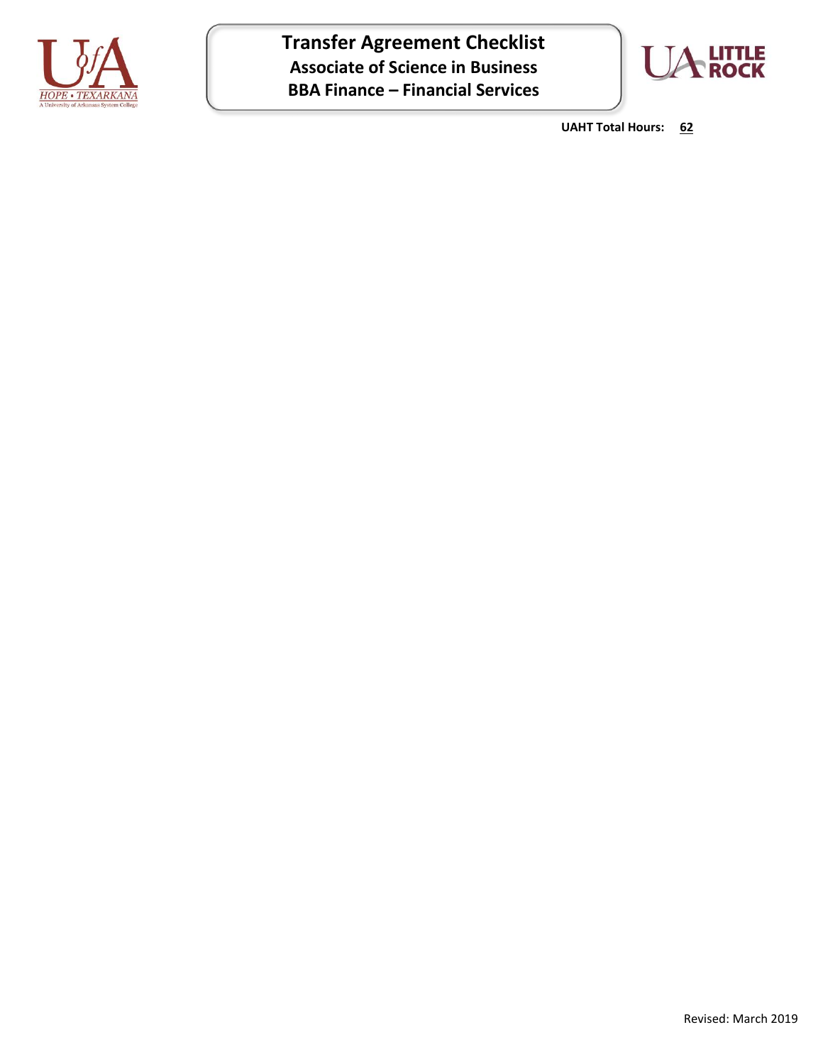

**Transfer Agreement Checklist Associate of Science in Business BBA Finance – Financial Services**



**UAHT Total Hours: 62**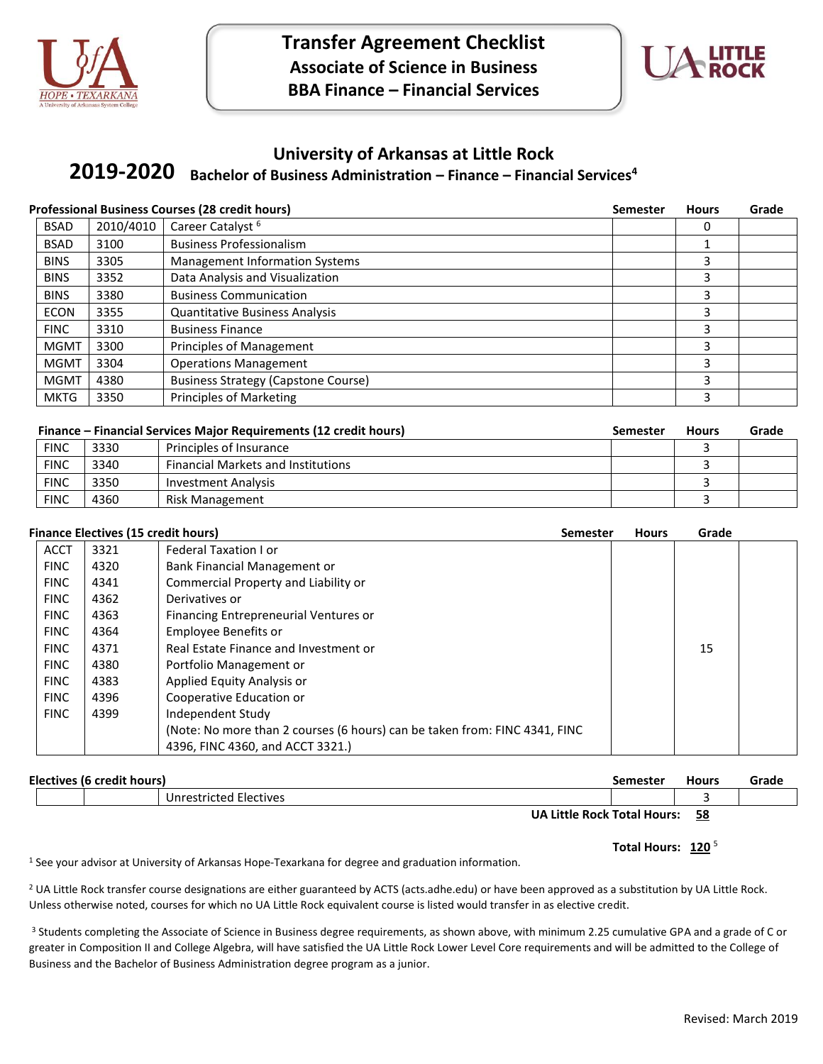



#### **University of Arkansas at Little Rock**

**Bachelor of Business Administration – Finance – Financial Services<sup>4</sup> 2019-2020**

|             | <b>Professional Business Courses (28 credit hours)</b> | <b>Semester</b>                            | <b>Hours</b> | Grade |  |
|-------------|--------------------------------------------------------|--------------------------------------------|--------------|-------|--|
| <b>BSAD</b> | 2010/4010                                              | Career Catalyst <sup>6</sup>               |              |       |  |
| <b>BSAD</b> | 3100                                                   | <b>Business Professionalism</b>            |              |       |  |
| <b>BINS</b> | 3305                                                   | <b>Management Information Systems</b>      |              | 3     |  |
| <b>BINS</b> | 3352                                                   | Data Analysis and Visualization            |              | 3     |  |
| <b>BINS</b> | 3380                                                   | <b>Business Communication</b>              |              | 3     |  |
| <b>ECON</b> | 3355                                                   | <b>Quantitative Business Analysis</b>      |              | 3     |  |
| <b>FINC</b> | 3310                                                   | <b>Business Finance</b>                    |              | 3     |  |
| <b>MGMT</b> | 3300                                                   | Principles of Management                   |              | 3     |  |
| <b>MGMT</b> | 3304                                                   | <b>Operations Management</b>               |              | 3     |  |
| <b>MGMT</b> | 4380                                                   | <b>Business Strategy (Capstone Course)</b> |              | 3     |  |
| <b>MKTG</b> | 3350                                                   | <b>Principles of Marketing</b>             |              | 3     |  |

| <b>Finance – Financial Services Major Requirements (12 credit hours)</b> |      |                                           | Semester | <b>Hours</b> | Grade |
|--------------------------------------------------------------------------|------|-------------------------------------------|----------|--------------|-------|
| <b>FINC</b>                                                              | 3330 | Principles of Insurance                   |          |              |       |
| <b>FINC</b>                                                              | 3340 | <b>Financial Markets and Institutions</b> |          |              |       |
| <b>FINC</b>                                                              | 3350 | <b>Investment Analysis</b>                |          |              |       |
| <b>FINC</b>                                                              | 4360 | Risk Management                           |          |              |       |

|             | <b>Finance Electives (15 credit hours)</b> | <b>Semester</b>                                                            | <b>Hours</b> | Grade |  |
|-------------|--------------------------------------------|----------------------------------------------------------------------------|--------------|-------|--|
| <b>ACCT</b> | 3321                                       | Federal Taxation I or                                                      |              |       |  |
| <b>FINC</b> | 4320                                       | Bank Financial Management or                                               |              |       |  |
| <b>FINC</b> | 4341                                       | Commercial Property and Liability or                                       |              |       |  |
| <b>FINC</b> | 4362                                       | Derivatives or                                                             |              |       |  |
| <b>FINC</b> | 4363                                       | Financing Entrepreneurial Ventures or                                      |              |       |  |
| <b>FINC</b> | 4364                                       | Employee Benefits or                                                       |              |       |  |
| <b>FINC</b> | 4371                                       | Real Estate Finance and Investment or                                      |              | 15    |  |
| <b>FINC</b> | 4380                                       | Portfolio Management or                                                    |              |       |  |
| <b>FINC</b> | 4383                                       | Applied Equity Analysis or                                                 |              |       |  |
| <b>FINC</b> | 4396                                       | Cooperative Education or                                                   |              |       |  |
| <b>FINC</b> | 4399                                       | Independent Study                                                          |              |       |  |
|             |                                            | (Note: No more than 2 courses (6 hours) can be taken from: FINC 4341, FINC |              |       |  |
|             |                                            | 4396, FINC 4360, and ACCT 3321.)                                           |              |       |  |

| Electives (6 credit hours) |                                    | Semester | Hours | Grade |
|----------------------------|------------------------------------|----------|-------|-------|
|                            | Unrestricted Electives             |          |       |       |
|                            | <b>UA Little Rock Total Hours:</b> |          | 58    |       |

#### Total Hours: 120<sup>5</sup>

<sup>1</sup> See your advisor at University of Arkansas Hope-Texarkana for degree and graduation information.

<sup>2</sup> UA Little Rock transfer course designations are either guaranteed by ACTS (acts.adhe.edu) or have been approved as a substitution by UA Little Rock. Unless otherwise noted, courses for which no UA Little Rock equivalent course is listed would transfer in as elective credit.

<sup>3</sup> Students completing the Associate of Science in Business degree requirements, as shown above, with minimum 2.25 cumulative GPA and a grade of C or greater in Composition II and College Algebra, will have satisfied the UA Little Rock Lower Level Core requirements and will be admitted to the College of Business and the Bachelor of Business Administration degree program as a junior.